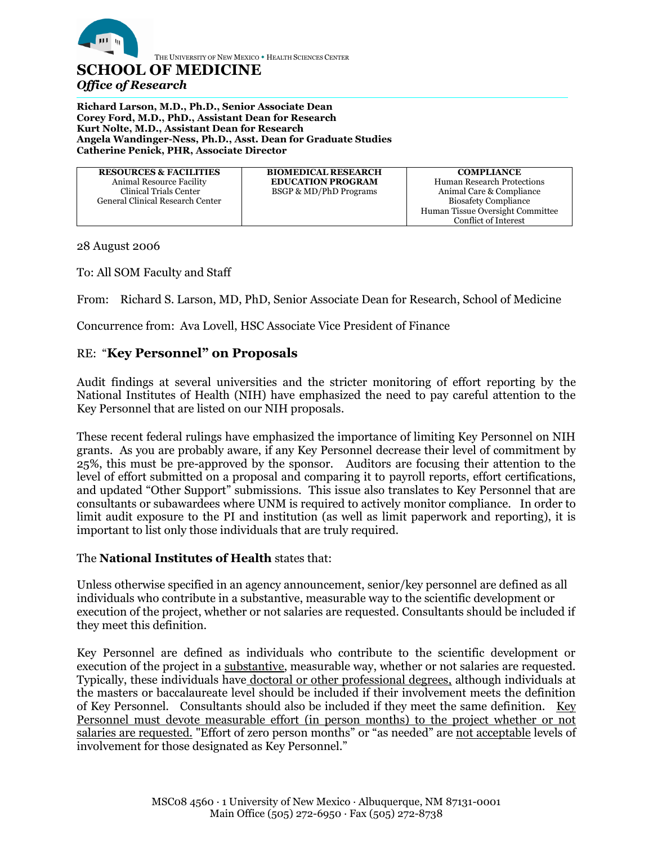

THE UNIVERSITY OF NEW MEXICO . HEALTH SCIENCES CENTER

## **SCHOOL OF MEDICINE** *Office of Research*

 $\overline{a}$ **Richard Larson, M.D., Ph.D., Senior Associate Dean Corey Ford, M.D., PhD., Assistant Dean for Research Kurt Nolte, M.D., Assistant Dean for Research Angela Wandinger-Ness, Ph.D., Asst. Dean for Graduate Studies Catherine Penick, PHR, Associate Director**

| <b>RESOURCES &amp; FACILITIES</b> | <b>BIOMEDICAL RESEARCH</b>        | <b>COMPLIANCE</b>                 |
|-----------------------------------|-----------------------------------|-----------------------------------|
| Animal Resource Facility          | <b>EDUCATION PROGRAM</b>          | <b>Human Research Protections</b> |
| Clinical Trials Center            | <b>BSGP &amp; MD/PhD Programs</b> | Animal Care & Compliance          |
| General Clinical Research Center  |                                   | <b>Biosafety Compliance</b>       |
|                                   |                                   | Human Tissue Oversight Committee  |
|                                   |                                   | Conflict of Interest              |

28 August 2006

To: All SOM Faculty and Staff

From: Richard S. Larson, MD, PhD, Senior Associate Dean for Research, School of Medicine

Concurrence from: Ava Lovell, HSC Associate Vice President of Finance

## RE: "**Key Personnel" on Proposals**

Audit findings at several universities and the stricter monitoring of effort reporting by the National Institutes of Health (NIH) have emphasized the need to pay careful attention to the Key Personnel that are listed on our NIH proposals.

These recent federal rulings have emphasized the importance of limiting Key Personnel on NIH grants. As you are probably aware, if any Key Personnel decrease their level of commitment by 25%, this must be pre-approved by the sponsor. Auditors are focusing their attention to the level of effort submitted on a proposal and comparing it to payroll reports, effort certifications, and updated "Other Support" submissions. This issue also translates to Key Personnel that are consultants or subawardees where UNM is required to actively monitor compliance. In order to limit audit exposure to the PI and institution (as well as limit paperwork and reporting), it is important to list only those individuals that are truly required.

## The **National Institutes of Health** states that:

Unless otherwise specified in an agency announcement, senior/key personnel are defined as all individuals who contribute in a substantive, measurable way to the scientific development or execution of the project, whether or not salaries are requested. Consultants should be included if they meet this definition.

Key Personnel are defined as individuals who contribute to the scientific development or execution of the project in a substantive, measurable way, whether or not salaries are requested. Typically, these individuals have doctoral or other professional degrees, although individuals at the masters or baccalaureate level should be included if their involvement meets the definition of Key Personnel. Consultants should also be included if they meet the same definition. Key Personnel must devote measurable effort (in person months) to the project whether or not salaries are requested. "Effort of zero person months" or "as needed" are not acceptable levels of involvement for those designated as Key Personnel."